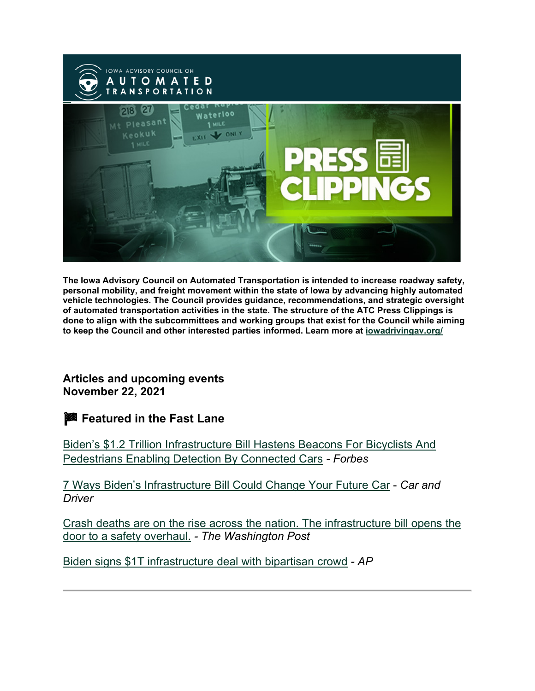

**The Iowa Advisory Council on Automated Transportation is intended to increase roadway safety, personal mobility, and freight movement within the state of Iowa by advancing highly automated vehicle technologies. The Council provides guidance, recommendations, and strategic oversight of automated transportation activities in the state. The structure of the ATC Press Clippings is done to align with the subcommittees and working groups that exist for the Council while aiming to keep the Council and other interested parties informed. Learn more at [iowadrivingav.org/](https://iowadrivingav.org/?utm_medium=email&utm_source=govdelivery)**

**Articles and upcoming events November 22, 2021**

**Featured in the Fast Lane**

[Biden's \\$1.2 Trillion Infrastructure Bill Hastens Beacons For Bicyclists And](https://www.forbes.com/sites/carltonreid/2021/11/06/bidens-12-trillion-infrastructure-bill-hastens-beacon-wearing-for-bicyclists-and-pedestrians-to-enable-detection-by-connected-cars/?sh=2c41ea215a3d&utm_medium=email&utm_source=govdelivery)  [Pedestrians Enabling Detection By Connected Cars](https://www.forbes.com/sites/carltonreid/2021/11/06/bidens-12-trillion-infrastructure-bill-hastens-beacon-wearing-for-bicyclists-and-pedestrians-to-enable-detection-by-connected-cars/?sh=2c41ea215a3d&utm_medium=email&utm_source=govdelivery) *- Forbes*

[7 Ways Biden's Infrastructure Bill Could Change Your Future Car](https://www.caranddriver.com/news/a38239339/infrastructure-investment-jobs-act-car-safety/?utm_medium=email&utm_source=govdelivery) - *Car and Driver*

[Crash deaths are on the rise across the nation. The infrastructure bill opens the](https://www.washingtonpost.com/transportation/2021/11/13/crash-deaths-overhaul-transportation/?utm_medium=email&utm_source=govdelivery)  [door to a safety overhaul.](https://www.washingtonpost.com/transportation/2021/11/13/crash-deaths-overhaul-transportation/?utm_medium=email&utm_source=govdelivery) *- The Washington Post*

[Biden signs \\$1T infrastructure deal with bipartisan crowd](https://apnews.com/article/joe-biden-congress-infrastructure-bill-signing-b5b8cca843133de060778f049861b144?utm_medium=email&utm_source=govdelivery) *- AP*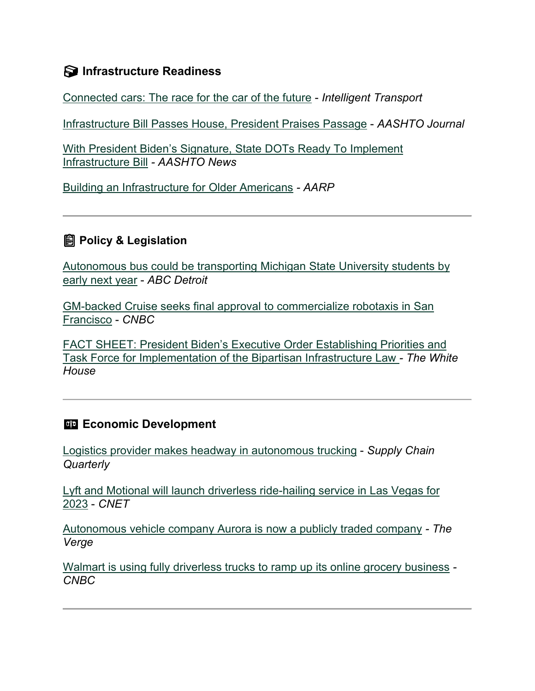#### **S** Infrastructure Readiness

[Connected cars: The race for the car of the future](https://www.intelligenttransport.com/transport-articles/130392/connected-cars-race-car-future/?utm_medium=email&utm_source=govdelivery) - *Intelligent Transport*

[Infrastructure Bill Passes House, President Praises Passage](https://aashtojournal.org/2021/11/08/infrastructure-bill-passes-house-signed-by-president/?utm_medium=email&utm_source=govdelivery) - *AASHTO Journal*

[With President Biden's Signature, State DOTs Ready To Implement](http://aashtonews.wpengine.com/2021/11/15/with-president-bidens-signature-state-dots-ready-to-implement-infrastructure-bill/?utm_medium=email&utm_source=govdelivery) [Infrastructure Bill](http://aashtonews.wpengine.com/2021/11/15/with-president-bidens-signature-state-dots-ready-to-implement-infrastructure-bill/?utm_medium=email&utm_source=govdelivery) *- AASHTO News*

[Building an Infrastructure for Older Americans](https://www.aarp.org/politics-society/advocacy/info-2021/infrastructure-for-older-americans.html?utm_medium=email&utm_source=govdelivery) *- AARP*

### **Policy & Legislation**

[Autonomous bus could be transporting Michigan State University students by](https://www.wxyz.com/news/autonomous-bus-could-be-transporting-michigan-state-university-students-by-early-next-year?utm_medium=email&utm_source=govdelivery)  [early next year](https://www.wxyz.com/news/autonomous-bus-could-be-transporting-michigan-state-university-students-by-early-next-year?utm_medium=email&utm_source=govdelivery) - *ABC Detroit*

[GM-backed Cruise seeks final approval to commercialize robotaxis in San](https://www.cnbc.com/2021/11/05/gm-backed-cruise-seeks-final-approval-for-robotaxis-in-san-francisco.html?utm_medium=email&utm_source=govdelivery)  [Francisco](https://www.cnbc.com/2021/11/05/gm-backed-cruise-seeks-final-approval-for-robotaxis-in-san-francisco.html?utm_medium=email&utm_source=govdelivery) - *CNBC*

[FACT SHEET: President Biden's Executive Order Establishing Priorities and](https://www.whitehouse.gov/briefing-room/statements-releases/2021/11/15/fact-sheet-president-bidens-executive-order-establishing-priorities-and-task-force-for-implementation-of-the-bipartisan-infrastructure-law/?utm_medium=email&utm_source=govdelivery)  [Task Force for Implementation of the Bipartisan Infrastructure Law](https://www.whitehouse.gov/briefing-room/statements-releases/2021/11/15/fact-sheet-president-bidens-executive-order-establishing-priorities-and-task-force-for-implementation-of-the-bipartisan-infrastructure-law/?utm_medium=email&utm_source=govdelivery) *- The White House*

#### **Example 2** Economic Development

[Logistics provider makes headway in autonomous trucking](https://www.supplychainquarterly.com/articles/5800-3pl-makes-headway-in-autonomous-trucking?utm_medium=email&utm_source=govdelivery) - *Supply Chain Quarterly*

[Lyft and Motional will launch driverless ride-hailing service in Las Vegas for](https://www.cnet.com/roadshow/news/lyft-and-motional-will-launch-driverless-ride-hailing-service-in-las-vegas-for-2023/?utm_medium=email&utm_source=govdelivery)  [2023](https://www.cnet.com/roadshow/news/lyft-and-motional-will-launch-driverless-ride-hailing-service-in-las-vegas-for-2023/?utm_medium=email&utm_source=govdelivery) - *CNET*

[Autonomous vehicle company Aurora is now a publicly traded company](https://www.theverge.com/2021/11/4/22763180/aurora-av-spac-merger-nasdaq-publicly-traded-urmson?utm_medium=email&utm_source=govdelivery) *- The Verge*

[Walmart is using fully driverless trucks to ramp up its online grocery business](https://www.cnbc.com/2021/11/08/walmart-is-using-fully-driverless-trucks-to-ramp-up-its-online-grocery-business.html?utm_medium=email&utm_source=govdelivery) *- CNBC*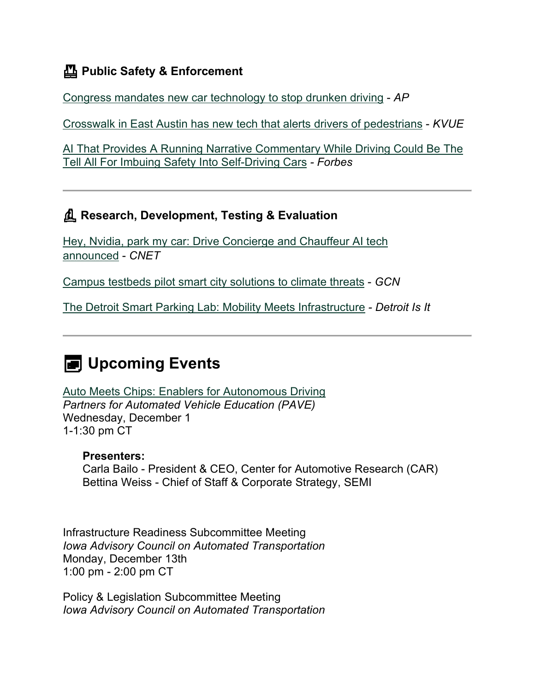## **Public Safety & Enforcement**

[Congress mandates new car technology to stop drunken driving](https://apnews.com/article/coronavirus-pandemic-joe-biden-technology-business-health-068ee87392b0cca1444053b854a514dd?utm_medium=email&utm_source=govdelivery) - *AP*

[Crosswalk in East Austin has new tech that alerts drivers of](https://www.kvue.com/article/traffic/rosewood-avenue-angelina-navasota-pedestrian-crossing/269-7489b970-8a7d-46ea-ade9-c7e1c295c7e1?utm_medium=email&utm_source=govdelivery) pedestrians - *KVUE*

[AI That Provides A Running Narrative Commentary While Driving Could Be The](https://www.forbes.com/sites/lanceeliot/2021/11/10/ai-that-provides-a-running-narrative-commentary-while-driving-could-be-the-tell-all-for-imbuing-safety-into-self-driving-cars/?sh=1f98359292f0&utm_medium=email&utm_source=govdelivery)  [Tell All For Imbuing Safety Into Self-Driving Cars](https://www.forbes.com/sites/lanceeliot/2021/11/10/ai-that-provides-a-running-narrative-commentary-while-driving-could-be-the-tell-all-for-imbuing-safety-into-self-driving-cars/?sh=1f98359292f0&utm_medium=email&utm_source=govdelivery) *- Forbes*

## **Research, Development, Testing & Evaluation**

[Hey, Nvidia, park my car: Drive Concierge and Chauffeur AI tech](https://www.cnet.com/roadshow/news/nvidia-drive-concierge-chauffeur-announced-gtc/?utm_medium=email&utm_source=govdelivery)  [announced](https://www.cnet.com/roadshow/news/nvidia-drive-concierge-chauffeur-announced-gtc/?utm_medium=email&utm_source=govdelivery) - *CNET*

[Campus testbeds pilot smart city solutions to climate threats](https://gcn.com/articles/2021/11/12/digital-cities-test-center.aspx?utm_medium=email&utm_source=govdelivery) - *GCN*

[The Detroit Smart Parking Lab: Mobility Meets Infrastructure](https://detroitisit.com/the-detroit-smart-parking-lab-mobility-meets-infrastructure/?utm_medium=email&utm_source=govdelivery) *- Detroit Is It*

# **EXERGE** Upcoming Events

[Auto Meets Chips: Enablers for Autonomous Driving](https://pavecampaign.org/event/pave-virtual-panel-auto-meets-chips/?utm_medium=email&utm_source=govdelivery) *Partners for Automated Vehicle Education (PAVE)* Wednesday, December 1 1-1:30 pm CT

#### **Presenters:**

Carla Bailo - President & CEO, Center for Automotive Research (CAR) Bettina Weiss - Chief of Staff & Corporate Strategy, SEMI

Infrastructure Readiness Subcommittee Meeting *Iowa Advisory Council on Automated Transportation* Monday, December 13th 1:00 pm - 2:00 pm CT

Policy & Legislation Subcommittee Meeting *Iowa Advisory Council on Automated Transportation*